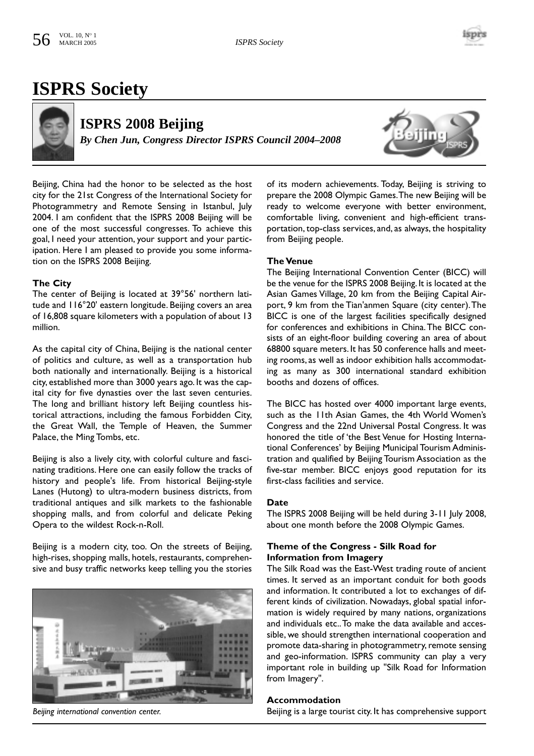

# **ISPRS Society**



**ISPRS 2008 Beijing** *By Chen Jun, Congress Director ISPRS Council 2004–2008*



Beijing, China had the honor to be selected as the host city for the 21st Congress of the International Society for Photogrammetry and Remote Sensing in Istanbul, July 2004. I am confident that the ISPRS 2008 Beijing will be one of the most successful congresses. To achieve this goal, I need your attention, your support and your participation. Here I am pleased to provide you some information on the ISPRS 2008 Beijing.

### **The City**

The center of Beijing is located at 39°56' northern latitude and 116°20' eastern longitude. Beijing covers an area of 16,808 square kilometers with a population of about 13 million.

As the capital city of China, Beijing is the national center of politics and culture, as well as a transportation hub both nationally and internationally. Beijing is a historical city, established more than 3000 years ago. It was the capital city for five dynasties over the last seven centuries. The long and brilliant history left Beijing countless historical attractions, including the famous Forbidden City, the Great Wall, the Temple of Heaven, the Summer Palace, the Ming Tombs, etc.

Beijing is also a lively city, with colorful culture and fascinating traditions. Here one can easily follow the tracks of history and people's life. From historical Beijing-style Lanes (Hutong) to ultra-modern business districts, from traditional antiques and silk markets to the fashionable shopping malls, and from colorful and delicate Peking Opera to the wildest Rock-n-Roll.

Beijing is a modern city, too. On the streets of Beijing, high-rises, shopping malls, hotels, restaurants, comprehensive and busy traffic networks keep telling you the stories



*Beijing international convention center.*

of its modern achievements. Today, Beijing is striving to prepare the 2008 Olympic Games.The new Beijing will be ready to welcome everyone with better environment, comfortable living, convenient and high-efficient transportation, top-class services, and, as always, the hospitality from Beijing people.

#### **The Venue**

The Beijing International Convention Center (BICC) will be the venue for the ISPRS 2008 Beijing. It is located at the Asian Games Village, 20 km from the Beijing Capital Airport, 9 km from the Tian'anmen Square (city center).The BICC is one of the largest facilities specifically designed for conferences and exhibitions in China.The BICC consists of an eight-floor building covering an area of about 68800 square meters. It has 50 conference halls and meeting rooms, as well as indoor exhibition halls accommodating as many as 300 international standard exhibition booths and dozens of offices.

The BICC has hosted over 4000 important large events, such as the 11th Asian Games, the 4th World Women's Congress and the 22nd Universal Postal Congress. It was honored the title of 'the Best Venue for Hosting International Conferences' by Beijing Municipal Tourism Administration and qualified by Beijing Tourism Association as the five-star member. BICC enjoys good reputation for its first-class facilities and service.

#### **Date**

The ISPRS 2008 Beijing will be held during 3-11 July 2008, about one month before the 2008 Olympic Games.

### **Theme of the Congress - Silk Road for Information from Imagery**

The Silk Road was the East-West trading route of ancient times. It served as an important conduit for both goods and information. It contributed a lot to exchanges of different kinds of civilization. Nowadays, global spatial information is widely required by many nations, organizations and individuals etc..To make the data available and accessible, we should strengthen international cooperation and promote data-sharing in photogrammetry, remote sensing and geo-information. ISPRS community can play a very important role in building up "Silk Road for Information from Imagery".

#### **Accommodation**

Beijing is a large tourist city. It has comprehensive support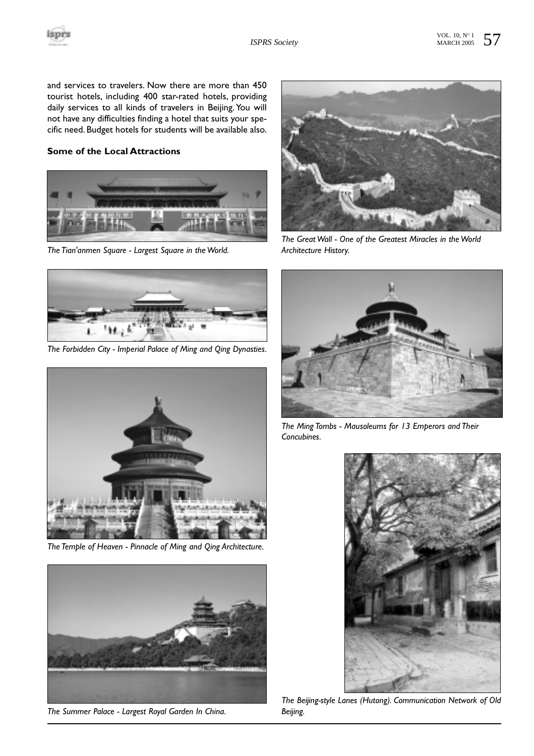

and services to travelers. Now there are more than 450 tourist hotels, including 400 star-rated hotels, providing daily services to all kinds of travelers in Beijing. You will not have any difficulties finding a hotel that suits your specific need. Budget hotels for students will be available also.

## **Some of the Local Attractions**



*The Tian'anmen Square - Largest Square in the World.*



*The Forbidden City - Imperial Palace of Ming and Qing Dynasties.*



*The Temple of Heaven - Pinnacle of Ming and Qing Architecture.*



*The Summer Palace - Largest Royal Garden In China.*



*The Great Wall - One of the Greatest Miracles in the World Architecture History.*



*The Ming Tombs - Mausoleums for 13 Emperors and Their Concubines.*



*The Beijing-style Lanes (Hutong). Communication Network of Old Beijing.*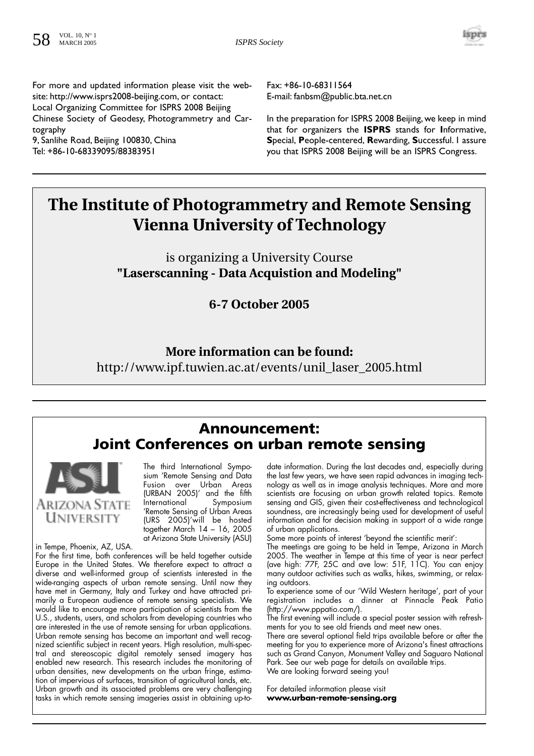

For more and updated information please visit the website: http://www.isprs2008-beijing.com, or contact: Local Organizing Committee for ISPRS 2008 Beijing Chinese Society of Geodesy, Photogrammetry and Cartography

9, Sanlihe Road, Beijing 100830, China Tel: +86-10-68339095/88383951

Fax: +86-10-68311564 E-mail: fanbsm@public.bta.net.cn

In the preparation for ISPRS 2008 Beijing, we keep in mind that for organizers the **ISPRS** stands for **I**nformative, **S**pecial, **P**eople-centered, **R**ewarding, **S**uccessful. I assure you that ISPRS 2008 Beijing will be an ISPRS Congress.

# **The Institute of Photogrammetry and Remote Sensing Vienna University of Technology**

is organizing a University Course **"Laserscanning - Data Acquistion and Modeling"**

**6-7 October 2005**

## **More information can be found:**

http://www.ipf.tuwien.ac.at/events/unil\_laser\_2005.html

## **Announcement: Joint Conferences on urban remote sensing**

Arizona State

**UNIVERSITY** 

The third International Symposium 'Remote Sensing and Data Fusion over Urban Areas (URBAN 2005)' and the fifth International Symposium 'Remote Sensing of Urban Areas (URS 2005)'will be hosted together March 14 – 16, 2005 at Arizona State University (ASU)

in Tempe, Phoenix, AZ, USA. For the first time, both conferences will be held together outside Europe in the United States. We therefore expect to attract a diverse and well-informed group of scientists interested in the wide-ranging aspects of urban remote sensing. Until now they have met in Germany, Italy and Turkey and have attracted primarily a European audience of remote sensing specialists. We would like to encourage more participation of scientists from the U.S., students, users, and scholars from developing countries who are interested in the use of remote sensing for urban applications. Urban remote sensing has become an important and well recognized scientific subject in recent years. High resolution, multi-spectral and stereoscopic digital remotely sensed imagery has enabled new research. This research includes the monitoring of urban densities, new developments on the urban fringe, estimation of impervious of surfaces, transition of agricultural lands, etc. Urban growth and its associated problems are very challenging tasks in which remote sensing imageries assist in obtaining up-todate information. During the last decades and, especially during the last few years, we have seen rapid advances in imaging technology as well as in image analysis techniques. More and more scientists are focusing on urban growth related topics. Remote sensing and GIS, given their cost-effectiveness and technological soundness, are increasingly being used for development of useful information and for decision making in support of a wide range of urban applications.

Some more points of interest 'beyond the scientific merit':

The meetings are going to be held in Tempe, Arizona in March 2005. The weather in Tempe at this time of year is near perfect (ave high: 77F, 25C and ave low: 51F, 11C). You can enjoy many outdoor activities such as walks, hikes, swimming, or relaxing outdoors.

To experience some of our 'Wild Western heritage', part of your registration includes a dinner at Pinnacle Peak Patio (http://www.pppatio.com/).

The first evening will include a special poster session with refreshments for you to see old friends and meet new ones.

There are several optional field trips available before or after the meeting for you to experience more of Arizona's finest attractions such as Grand Canyon, Monument Valley and Saguaro National Park. See our web page for details on available trips. We are looking forward seeing you!

For detailed information please visit **www.urban-remote-sensing.org**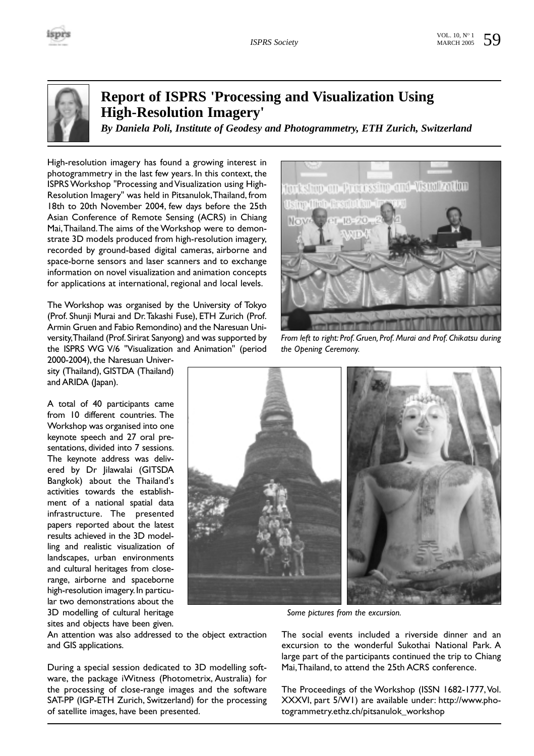

## **Report of ISPRS 'Processing and Visualization Using High-Resolution Imagery'**

*By Daniela Poli, Institute of Geodesy and Photogrammetry, ETH Zurich, Switzerland*

High-resolution imagery has found a growing interest in photogrammetry in the last few years. In this context, the ISPRS Workshop "Processing and Visualization using High-Resolution Imagery" was held in Pitsanulok,Thailand, from 18th to 20th November 2004, few days before the 25th Asian Conference of Remote Sensing (ACRS) in Chiang Mai,Thailand.The aims of the Workshop were to demonstrate 3D models produced from high-resolution imagery, recorded by ground-based digital cameras, airborne and space-borne sensors and laser scanners and to exchange information on novel visualization and animation concepts for applications at international, regional and local levels.

The Workshop was organised by the University of Tokyo (Prof. Shunji Murai and Dr.Takashi Fuse), ETH Zurich (Prof. Armin Gruen and Fabio Remondino) and the Naresuan University,Thailand (Prof.Sirirat Sanyong) and was supported by the ISPRS WG V/6 "Visualization and Animation" (period



*From left to right: Prof. Gruen, Prof. Murai and Prof. Chikatsu during the Opening Ceremony.*

2000-2004), the Naresuan University (Thailand), GISTDA (Thailand) and ARIDA (Japan).

A total of 40 participants came from 10 different countries. The Workshop was organised into one keynote speech and 27 oral presentations, divided into 7 sessions. The keynote address was delivered by Dr Jilawalai (GITSDA Bangkok) about the Thailand's activities towards the establishment of a national spatial data infrastructure. The presented papers reported about the latest results achieved in the 3D modelling and realistic visualization of landscapes, urban environments and cultural heritages from closerange, airborne and spaceborne high-resolution imagery. In particular two demonstrations about the 3D modelling of cultural heritage sites and objects have been given.



*Some pictures from the excursion.*

An attention was also addressed to the object extraction and GIS applications.

During a special session dedicated to 3D modelling software, the package iWitness (Photometrix, Australia) for the processing of close-range images and the software SAT-PP (IGP-ETH Zurich, Switzerland) for the processing of satellite images, have been presented.

The social events included a riverside dinner and an excursion to the wonderful Sukothai National Park. A large part of the participants continued the trip to Chiang Mai,Thailand, to attend the 25th ACRS conference.

The Proceedings of the Workshop (ISSN 1682-1777,Vol. XXXVI, part 5/W1) are available under: http://www.photogrammetry.ethz.ch/pitsanulok\_workshop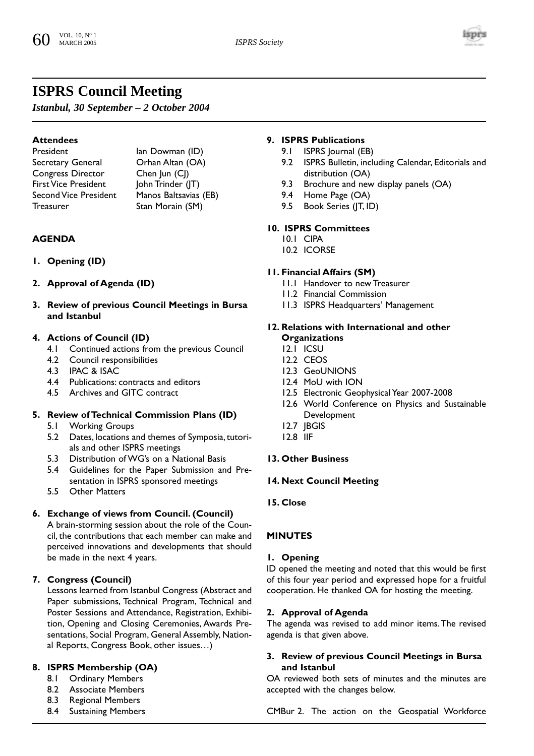

## **ISPRS Council Meeting**

*Istanbul, 30 September – 2 October 2004*

## **Attendees**

Secretary General **Orhan Altan (OA)** Congress Director Chen Jun (CJ) First Vice President John Trinder (JT)<br>Second Vice President Manos Baltsavias Treasurer Stan Morain (SM)

President Ian Dowman (ID) Manos Baltsavias (EB)

### **AGENDA**

- **1. Opening (ID)**
- **2. Approval of Agenda (ID)**
- **3. Review of previous Council Meetings in Bursa and Istanbul**

## **4. Actions of Council (ID)**

- 4.1 Continued actions from the previous Council
- 4.2 Council responsibilities
- 4.3 IPAC & ISAC
- 4.4 Publications: contracts and editors
- 4.5 Archives and GITC contract

## **5. Review of Technical Commission Plans (ID)**

- 5.1 Working Groups
- 5.2 Dates, locations and themes of Symposia, tutorials and other ISPRS meetings
- 5.3 Distribution of WG's on a National Basis
- 5.4 Guidelines for the Paper Submission and Presentation in ISPRS sponsored meetings
- 5.5 Other Matters

## **6. Exchange of views from Council. (Council)**

A brain-storming session about the role of the Council, the contributions that each member can make and perceived innovations and developments that should be made in the next 4 years.

## **7. Congress (Council)**

Lessons learned from Istanbul Congress (Abstract and Paper submissions, Technical Program, Technical and Poster Sessions and Attendance, Registration, Exhibition, Opening and Closing Ceremonies, Awards Presentations, Social Program, General Assembly, National Reports, Congress Book, other issues…)

## **8. ISPRS Membership (OA)**

- 8.1 Ordinary Members
- 8.2 Associate Members
- 8.3 Regional Members
- 8.4 Sustaining Members

#### **9. ISPRS Publications**

- 9.1 ISPRS Journal (EB)
- 9.2 ISPRS Bulletin, including Calendar, Editorials and distribution (OA)
- 9.3 Brochure and new display panels (OA)
- 9.4 Home Page (OA)
- 9.5 Book Series (JT, ID)

## **10. ISPRS Committees**

- 10.1 CIPA
- 10.2 ICORSE

### **11. Financial Affairs (SM)**

- 11.1 Handover to new Treasurer
- 11.2 Financial Commission
- 11.3 ISPRS Headquarters' Management

#### **12. Relations with International and other Organizations**

- 12.1 ICSU
- 12.2 CEOS
- 12.3 GeoUNIONS
- 12.4 MoU with ION
- 12.5 Electronic Geophysical Year 2007-2008
- 12.6 World Conference on Physics and Sustainable Development
- 12.7 JBGIS
- 12.8 IIF

## **13. Other Business**

#### **14. Next Council Meeting**

**15. Close**

## **MINUTES**

## **1. Opening**

ID opened the meeting and noted that this would be first of this four year period and expressed hope for a fruitful cooperation. He thanked OA for hosting the meeting.

## **2. Approval of Agenda**

The agenda was revised to add minor items.The revised agenda is that given above.

### **3. Review of previous Council Meetings in Bursa and Istanbul**

OA reviewed both sets of minutes and the minutes are accepted with the changes below.

CMBur 2. The action on the Geospatial Workforce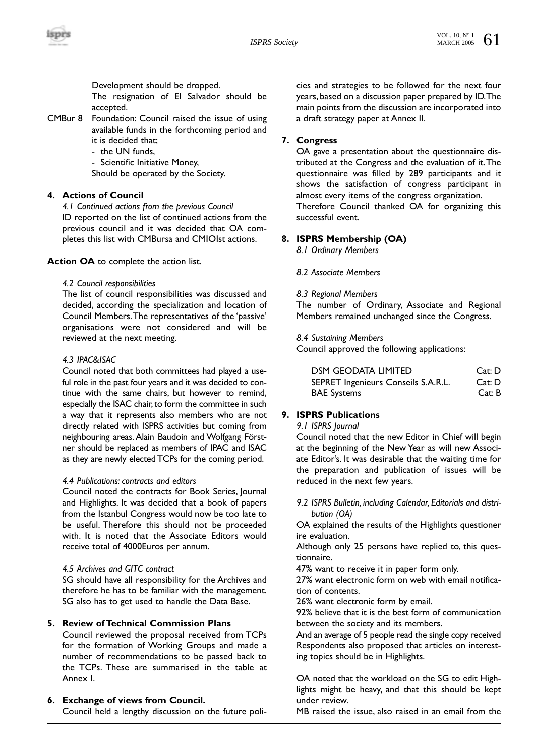Development should be dropped.

The resignation of El Salvador should be accepted.

CMBur 8 Foundation: Council raised the issue of using available funds in the forthcoming period and it is decided that;

- the UN funds,

- Scientific Initiative Money,

Should be operated by the Society.

## **4. Actions of Council**

*4.1 Continued actions from the previous Council* ID reported on the list of continued actions from the previous council and it was decided that OA completes this list with CMBursa and CMIOIst actions.

**Action OA** to complete the action list.

### *4.2 Council responsibilities*

The list of council responsibilities was discussed and decided, according the specialization and location of Council Members.The representatives of the 'passive' organisations were not considered and will be reviewed at the next meeting.

### *4.3 IPAC&ISAC*

Council noted that both committees had played a useful role in the past four years and it was decided to continue with the same chairs, but however to remind, especially the ISAC chair, to form the committee in such a way that it represents also members who are not directly related with ISPRS activities but coming from neighbouring areas. Alain Baudoin and Wolfgang Förstner should be replaced as members of IPAC and ISAC as they are newly elected TCPs for the coming period.

#### *4.4 Publications: contracts and editors*

Council noted the contracts for Book Series, Journal and Highlights. It was decided that a book of papers from the Istanbul Congress would now be too late to be useful. Therefore this should not be proceeded with. It is noted that the Associate Editors would receive total of 4000Euros per annum.

## *4.5 Archives and GITC contract*

SG should have all responsibility for the Archives and therefore he has to be familiar with the management. SG also has to get used to handle the Data Base.

## **5. Review of Technical Commission Plans**

Council reviewed the proposal received from TCPs for the formation of Working Groups and made a number of recommendations to be passed back to the TCPs. These are summarised in the table at Annex I.

## **6. Exchange of views from Council.**

Council held a lengthy discussion on the future poli-

cies and strategies to be followed for the next four years, based on a discussion paper prepared by ID.The main points from the discussion are incorporated into a draft strategy paper at Annex II.

## **7. Congress**

OA gave a presentation about the questionnaire distributed at the Congress and the evaluation of it.The questionnaire was filled by 289 participants and it shows the satisfaction of congress participant in almost every items of the congress organization. Therefore Council thanked OA for organizing this successful event.

## **8. ISPRS Membership (OA)**

*8.1 Ordinary Members* 

*8.2 Associate Members*

### *8.3 Regional Members*

The number of Ordinary, Associate and Regional Members remained unchanged since the Congress.

#### *8.4 Sustaining Members*

Council approved the following applications:

| <b>DSM GEODATA LIMITED</b>          | Cat: D |
|-------------------------------------|--------|
| SEPRET Ingenieurs Conseils S.A.R.L. | Cat: D |
| <b>BAE Systems</b>                  | Cat: B |

## **9. ISPRS Publications**

#### *9.1 ISPRS Journal*

Council noted that the new Editor in Chief will begin at the beginning of the New Year as will new Associate Editor's. It was desirable that the waiting time for the preparation and publication of issues will be reduced in the next few years.

*9.2 ISPRS Bulletin, including Calendar, Editorials and distribution (OA)*

OA explained the results of the Highlights questioner ire evaluation.

Although only 25 persons have replied to, this questionnaire.

47% want to receive it in paper form only.

27% want electronic form on web with email notification of contents.

26% want electronic form by email.

92% believe that it is the best form of communication between the society and its members.

And an average of 5 people read the single copy received Respondents also proposed that articles on interesting topics should be in Highlights.

OA noted that the workload on the SG to edit Highlights might be heavy, and that this should be kept under review.

MB raised the issue, also raised in an email from the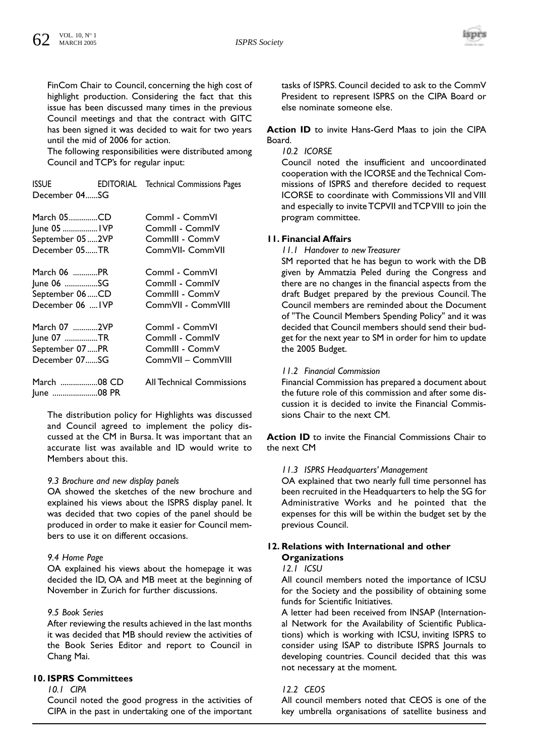

FinCom Chair to Council, concerning the high cost of highlight production. Considering the fact that this issue has been discussed many times in the previous Council meetings and that the contract with GITC has been signed it was decided to wait for two years until the mid of 2006 for action.

The following responsibilities were distributed among Council and TCP's for regular input:

| <b>ISSUE</b>  | EDITORIAL | Technical Commissions Pages |
|---------------|-----------|-----------------------------|
| December 04SG |           |                             |

| March 05CD       | Comml - CommVI                   |
|------------------|----------------------------------|
| June 05  IVP     | Commil - CommiV                  |
| September 05 2VP | CommIII - CommV                  |
| December 05TR    | CommVII- CommVII                 |
| March 06 PR      | Comml - CommVI                   |
| June 06 SG       | Commil - CommiV                  |
| September 06 CD  | CommIII - CommV                  |
| December 06  IVP | CommVII - CommVIII               |
| March 07 2VP     | Comml - CommVI                   |
| June 07 TR       | Commil - CommiV                  |
| September 07 PR  | CommIII - CommV                  |
| December 07SG    | CommVII - CommVIII               |
| June 08 PR       | <b>All Technical Commissions</b> |

The distribution policy for Highlights was discussed and Council agreed to implement the policy discussed at the CM in Bursa. It was important that an accurate list was available and ID would write to Members about this.

#### *9.3 Brochure and new display panels*

OA showed the sketches of the new brochure and explained his views about the ISPRS display panel. It was decided that two copies of the panel should be produced in order to make it easier for Council members to use it on different occasions.

#### *9.4 Home Page*

OA explained his views about the homepage it was decided the ID, OA and MB meet at the beginning of November in Zurich for further discussions.

#### *9.5 Book Series*

After reviewing the results achieved in the last months it was decided that MB should review the activities of the Book Series Editor and report to Council in Chang Mai.

## **10. ISPRS Committees**

*10.1 CIPA*

Council noted the good progress in the activities of CIPA in the past in undertaking one of the important

tasks of ISPRS. Council decided to ask to the CommV President to represent ISPRS on the CIPA Board or else nominate someone else.

**Action ID** to invite Hans-Gerd Maas to join the CIPA Board.

#### *10.2 ICORSE*

Council noted the insufficient and uncoordinated cooperation with the ICORSE and the Technical Commissions of ISPRS and therefore decided to request ICORSE to coordinate with Commissions VII and VIII and especially to invite TCPVII and TCP VIII to join the program committee.

#### **11. Financial Affairs**

*11.1 Handover to new Treasurer*

SM reported that he has begun to work with the DB given by Ammatzia Peled during the Congress and there are no changes in the financial aspects from the draft Budget prepared by the previous Council. The Council members are reminded about the Document of "The Council Members Spending Policy" and it was decided that Council members should send their budget for the next year to SM in order for him to update the 2005 Budget.

#### *11.2 Financial Commission*

Financial Commission has prepared a document about the future role of this commission and after some discussion it is decided to invite the Financial Commissions Chair to the next CM.

**Action ID** to invite the Financial Commissions Chair to the next CM

#### *11.3 ISPRS Headquarters' Management*

OA explained that two nearly full time personnel has been recruited in the Headquarters to help the SG for Administrative Works and he pointed that the expenses for this will be within the budget set by the previous Council.

## **12. Relations with International and other Organizations**

## *12.1 ICSU*

All council members noted the importance of ICSU for the Society and the possibility of obtaining some funds for Scientific Initiatives.

A letter had been received from INSAP (International Network for the Availability of Scientific Publications) which is working with ICSU, inviting ISPRS to consider using ISAP to distribute ISPRS Journals to developing countries. Council decided that this was not necessary at the moment.

## *12.2 CEOS*

All council members noted that CEOS is one of the key umbrella organisations of satellite business and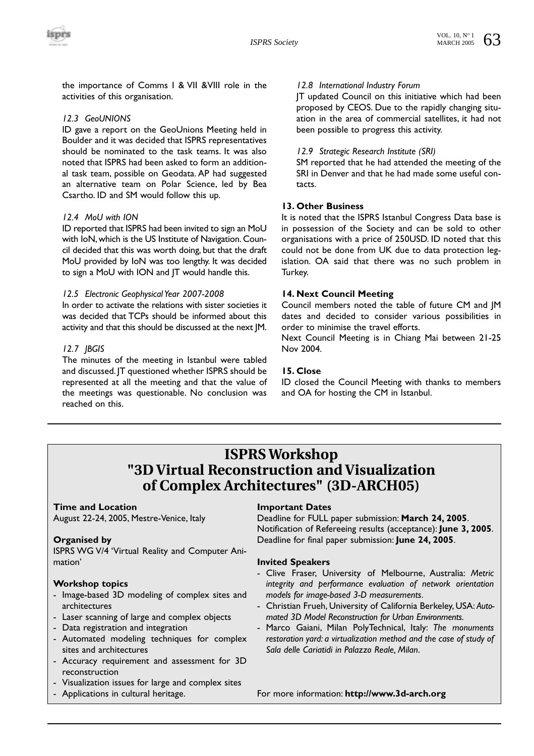the importance of Comms I & VII &VIII role in the activities of this organisation.

#### *12.3 GeoUNIONS*

ID gave a report on the GeoUnions Meeting held in Boulder and it was decided that ISPRS representatives should be nominated to the task teams. It was also noted that ISPRS had been asked to form an additional task team, possible on Geodata. AP had suggested an alternative team on Polar Science, led by Bea Csartho. ID and SM would follow this up.

#### *12.4 MoU with ION*

ID reported that ISPRS had been invited to sign an MoU with IoN, which is the US Institute of Navigation. Council decided that this was worth doing, but that the draft MoU provided by IoN was too lengthy. It was decided to sign a MoU with ION and JT would handle this.

#### *12.5 Electronic Geophysical Year 2007-2008*

In order to activate the relations with sister societies it was decided that TCPs should be informed about this activity and that this should be discussed at the next JM.

#### *12.7 JBGIS*

The minutes of the meeting in Istanbul were tabled and discussed. JT questioned whether ISPRS should be represented at all the meeting and that the value of the meetings was questionable. No conclusion was reached on this.

#### *12.8 International Industry Forum*

JT updated Council on this initiative which had been proposed by CEOS. Due to the rapidly changing situation in the area of commercial satellites, it had not been possible to progress this activity.

#### *12.9 Strategic Research Institute (SRI)*

SM reported that he had attended the meeting of the SRI in Denver and that he had made some useful contacts.

## **13. Other Business**

It is noted that the ISPRS Istanbul Congress Data base is in possession of the Society and can be sold to other organisations with a price of 250USD. ID noted that this could not be done from UK due to data protection legislation. OA said that there was no such problem in Turkey.

#### **14. Next Council Meeting**

Council members noted the table of future CM and JM dates and decided to consider various possibilities in order to minimise the travel efforts.

Next Council Meeting is in Chiang Mai between 21-25 Nov 2004.

#### **15. Close**

ID closed the Council Meeting with thanks to members and OA for hosting the CM in Istanbul.

## **ISPRS Workshop "3D Virtual Reconstruction and Visualization of Complex Architectures" (3D-ARCH05)**

## **Time and Location**

August 22-24, 2005, Mestre-Venice, Italy

#### **Organised by**

ISPRS WG V/4 'Virtual Reality and Computer Animation'

#### **Workshop topics**

- Image-based 3D modeling of complex sites and architectures
- Laser scanning of large and complex objects
- Data registration and integration
- Automated modeling techniques for complex sites and architectures
- Accuracy requirement and assessment for 3D reconstruction
- Visualization issues for large and complex sites
- Applications in cultural heritage.

## **Important Dates**

Deadline for FULL paper submission: **March 24, 2005**. Notification of Refereeing results (acceptance): **June 3, 2005**. Deadline for final paper submission: **June 24, 2005**.

#### **Invited Speakers**

- Clive Fraser, University of Melbourne, Australia: *Metric integrity and performance evaluation of network orientation models for image-based 3-D measurements*.
- Christian Frueh, University of California Berkeley, USA: *Automated 3D Model Reconstruction for Urban Environments*.
- Marco Gaiani, Milan PolyTechnical, Italy: *The monuments restoration yard: a virtualization method and the case of study of Sala delle Cariatidi in Palazzo Reale, Milan*.

For more information: **http://www.3d-arch.org**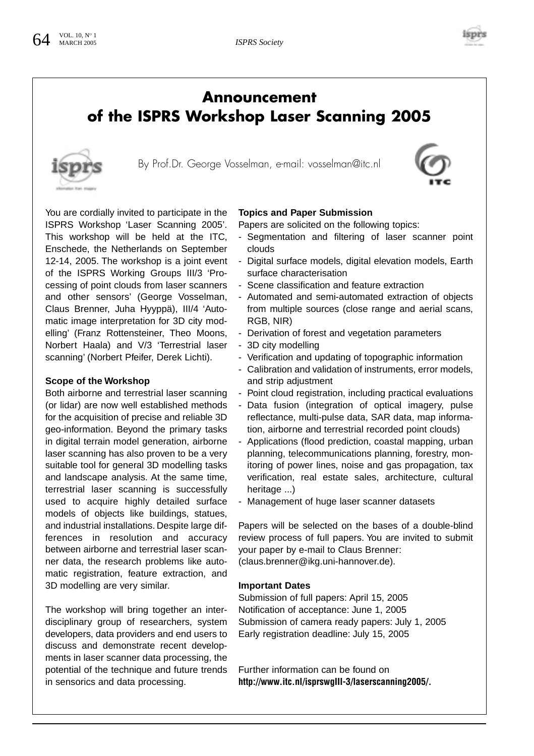

## **Announcement of the ISPRS Workshop Laser Scanning 2005**



By Prof.Dr. George Vosselman, e-mail: vosselman@itc.nl



You are cordially invited to participate in the ISPRS Workshop 'Laser Scanning 2005'. This workshop will be held at the ITC, Enschede, the Netherlands on September 12-14, 2005. The workshop is a joint event of the ISPRS Working Groups III/3 'Processing of point clouds from laser scanners and other sensors' (George Vosselman, Claus Brenner, Juha Hyyppä), III/4 'Automatic image interpretation for 3D city modelling' (Franz Rottensteiner, Theo Moons, Norbert Haala) and V/3 'Terrestrial laser scanning' (Norbert Pfeifer, Derek Lichti).

#### **Scope of the Workshop**

Both airborne and terrestrial laser scanning (or lidar) are now well established methods for the acquisition of precise and reliable 3D geo-information. Beyond the primary tasks in digital terrain model generation, airborne laser scanning has also proven to be a very suitable tool for general 3D modelling tasks and landscape analysis. At the same time, terrestrial laser scanning is successfully used to acquire highly detailed surface models of objects like buildings, statues, and industrial installations. Despite large differences in resolution and accuracy between airborne and terrestrial laser scanner data, the research problems like automatic registration, feature extraction, and 3D modelling are very similar.

The workshop will bring together an interdisciplinary group of researchers, system developers, data providers and end users to discuss and demonstrate recent developments in laser scanner data processing, the potential of the technique and future trends in sensorics and data processing.

#### **Topics and Paper Submission**

Papers are solicited on the following topics:

- Segmentation and filtering of laser scanner point clouds
- Digital surface models, digital elevation models, Earth surface characterisation
- Scene classification and feature extraction
- Automated and semi-automated extraction of objects from multiple sources (close range and aerial scans, RGB, NIR)
- Derivation of forest and vegetation parameters
- 3D city modelling
- Verification and updating of topographic information
- Calibration and validation of instruments, error models, and strip adjustment
- Point cloud registration, including practical evaluations
- Data fusion (integration of optical imagery, pulse reflectance, multi-pulse data, SAR data, map information, airborne and terrestrial recorded point clouds)
- Applications (flood prediction, coastal mapping, urban planning, telecommunications planning, forestry, monitoring of power lines, noise and gas propagation, tax verification, real estate sales, architecture, cultural heritage ...)
- Management of huge laser scanner datasets

Papers will be selected on the bases of a double-blind review process of full papers. You are invited to submit your paper by e-mail to Claus Brenner: (claus.brenner@ikg.uni-hannover.de).

#### **Important Dates**

Submission of full papers: April 15, 2005 Notification of acceptance: June 1, 2005 Submission of camera ready papers: July 1, 2005 Early registration deadline: July 15, 2005

Further information can be found on **http://www.itc.nl/isprswgIII-3/laserscanning2005/.**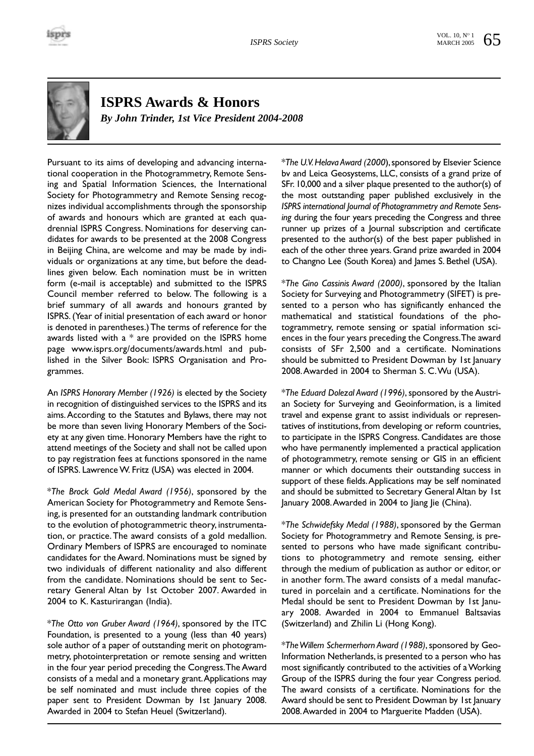

# **ISPRS Awards & Honors**

*By John Trinder, 1st Vice President 2004-2008*

Pursuant to its aims of developing and advancing international cooperation in the Photogrammetry, Remote Sensing and Spatial Information Sciences, the International Society for Photogrammetry and Remote Sensing recognizes individual accomplishments through the sponsorship of awards and honours which are granted at each quadrennial ISPRS Congress. Nominations for deserving candidates for awards to be presented at the 2008 Congress in Beijing China, are welcome and may be made by individuals or organizations at any time, but before the deadlines given below. Each nomination must be in written form (e-mail is acceptable) and submitted to the ISPRS Council member referred to below. The following is a brief summary of all awards and honours granted by ISPRS. (Year of initial presentation of each award or honor is denoted in parentheses.) The terms of reference for the awards listed with a \* are provided on the ISPRS home page www.isprs.org/documents/awards.html and published in the Silver Book: ISPRS Organisation and Programmes.

An *ISPRS Honorary Member (1926)* is elected by the Society in recognition of distinguished services to the ISPRS and its aims.According to the Statutes and Bylaws, there may not be more than seven living Honorary Members of the Society at any given time. Honorary Members have the right to attend meetings of the Society and shall not be called upon to pay registration fees at functions sponsored in the name of ISPRS. Lawrence W. Fritz (USA) was elected in 2004.

\**The Brock Gold Medal Award (1956)*, sponsored by the American Society for Photogrammetry and Remote Sensing, is presented for an outstanding landmark contribution to the evolution of photogrammetric theory, instrumentation, or practice.The award consists of a gold medallion. Ordinary Members of ISPRS are encouraged to nominate candidates for the Award. Nominations must be signed by two individuals of different nationality and also different from the candidate. Nominations should be sent to Secretary General Altan by 1st October 2007. Awarded in 2004 to K. Kasturirangan (India).

\**The Otto von Gruber Award (1964)*, sponsored by the ITC Foundation, is presented to a young (less than 40 years) sole author of a paper of outstanding merit on photogrammetry, photointerpretation or remote sensing and written in the four year period preceding the Congress.The Award consists of a medal and a monetary grant.Applications may be self nominated and must include three copies of the paper sent to President Dowman by 1st January 2008. Awarded in 2004 to Stefan Heuel (Switzerland).

\**The U.V.Helava Award (2000*),sponsored by Elsevier Science bv and Leica Geosystems, LLC, consists of a grand prize of SFr. 10,000 and a silver plaque presented to the author(s) of the most outstanding paper published exclusively in the *ISPRS international Journal of Photogrammetry and Remote Sensing* during the four years preceding the Congress and three runner up prizes of a Journal subscription and certificate presented to the author(s) of the best paper published in each of the other three years. Grand prize awarded in 2004 to Changno Lee (South Korea) and James S. Bethel (USA).

\**The Gino Cassinis Award (2000)*, sponsored by the Italian Society for Surveying and Photogrammetry (SIFET) is presented to a person who has significantly enhanced the mathematical and statistical foundations of the photogrammetry, remote sensing or spatial information sciences in the four years preceding the Congress.The award consists of SFr 2,500 and a certificate. Nominations should be submitted to President Dowman by 1st January 2008.Awarded in 2004 to Sherman S. C.Wu (USA).

\**The Eduard Dolezal Award (1996)*, sponsored by the Austrian Society for Surveying and Geoinformation, is a limited travel and expense grant to assist individuals or representatives of institutions, from developing or reform countries, to participate in the ISPRS Congress. Candidates are those who have permanently implemented a practical application of photogrammetry, remote sensing or GIS in an efficient manner or which documents their outstanding success in support of these fields.Applications may be self nominated and should be submitted to Secretary General Altan by 1st January 2008.Awarded in 2004 to Jiang Jie (China).

\**The Schwidefsky Medal (1988)*, sponsored by the German Society for Photogrammetry and Remote Sensing, is presented to persons who have made significant contributions to photogrammetry and remote sensing, either through the medium of publication as author or editor, or in another form.The award consists of a medal manufactured in porcelain and a certificate. Nominations for the Medal should be sent to President Dowman by 1st January 2008. Awarded in 2004 to Emmanuel Baltsavias (Switzerland) and Zhilin Li (Hong Kong).

\**The Willem Schermerhorn Award (1988)*, sponsored by Geo-Information Netherlands, is presented to a person who has most significantly contributed to the activities of a Working Group of the ISPRS during the four year Congress period. The award consists of a certificate. Nominations for the Award should be sent to President Dowman by 1st January 2008.Awarded in 2004 to Marguerite Madden (USA).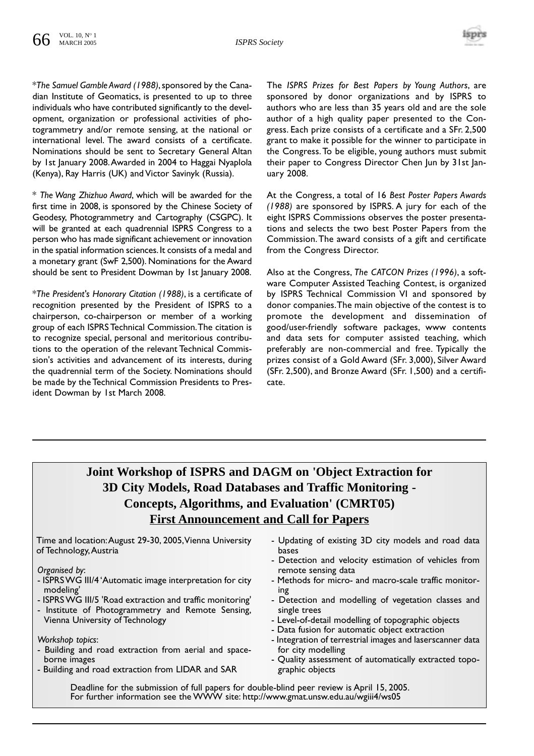

\**The Samuel Gamble Award (1988)*,sponsored by the Canadian Institute of Geomatics, is presented to up to three individuals who have contributed significantly to the development, organization or professional activities of photogrammetry and/or remote sensing, at the national or international level. The award consists of a certificate. Nominations should be sent to Secretary General Altan by 1st January 2008.Awarded in 2004 to Haggai Nyaplola (Kenya), Ray Harris (UK) and Victor Savinyk (Russia).

\* *The Wang Zhizhuo Award*, which will be awarded for the first time in 2008, is sponsored by the Chinese Society of Geodesy, Photogrammetry and Cartography (CSGPC). It will be granted at each quadrennial ISPRS Congress to a person who has made significant achievement or innovation in the spatial information sciences. It consists of a medal and a monetary grant (SwF 2,500). Nominations for the Award should be sent to President Dowman by 1st January 2008.

\**The President's Honorary Citation (1988)*, is a certificate of recognition presented by the President of ISPRS to a chairperson, co-chairperson or member of a working group of each ISPRS Technical Commission.The citation is to recognize special, personal and meritorious contributions to the operation of the relevant Technical Commission's activities and advancement of its interests, during the quadrennial term of the Society. Nominations should be made by the Technical Commission Presidents to President Dowman by 1st March 2008.

The *ISPRS Prizes for Best Papers by Young Authors*, are sponsored by donor organizations and by ISPRS to authors who are less than 35 years old and are the sole author of a high quality paper presented to the Congress. Each prize consists of a certificate and a SFr. 2,500 grant to make it possible for the winner to participate in the Congress.To be eligible, young authors must submit their paper to Congress Director Chen Jun by 31st January 2008.

At the Congress, a total of 16 *Best Poster Papers Awards (1988)* are sponsored by ISPRS. A jury for each of the eight ISPRS Commissions observes the poster presentations and selects the two best Poster Papers from the Commission.The award consists of a gift and certificate from the Congress Director.

Also at the Congress, *The CATCON Prizes (1996)*, a software Computer Assisted Teaching Contest, is organized by ISPRS Technical Commission VI and sponsored by donor companies.The main objective of the contest is to promote the development and dissemination of good/user-friendly software packages, www contents and data sets for computer assisted teaching, which preferably are non-commercial and free. Typically the prizes consist of a Gold Award (SFr. 3,000), Silver Award (SFr. 2,500), and Bronze Award (SFr. 1,500) and a certificate.

## **Joint Workshop of ISPRS and DAGM on 'Object Extraction for 3D City Models, Road Databases and Traffic Monitoring - Concepts, Algorithms, and Evaluation' (CMRT05) First Announcement and Call for Papers**

Time and location:August 29-30, 2005,Vienna University of Technology,Austria

*Organised by*:

- ISPRS WG III/4 'Automatic image interpretation for city modeling'
- ISPRS WG III/5 'Road extraction and traffic monitoring'
- Institute of Photogrammetry and Remote Sensing, Vienna University of Technology

*Workshop topics*:

- Building and road extraction from aerial and spaceborne images
- Building and road extraction from LIDAR and SAR
- Updating of existing 3D city models and road data bases
- Detection and velocity estimation of vehicles from remote sensing data
- Methods for micro- and macro-scale traffic monitoring
- Detection and modelling of vegetation classes and single trees
- Level-of-detail modelling of topographic objects
- Data fusion for automatic object extraction
- Integration of terrestrial images and laserscanner data for city modelling
- Quality assessment of automatically extracted topographic objects

Deadline for the submission of full papers for double-blind peer review is April 15, 2005. For further information see the WWW site: http://www.gmat.unsw.edu.au/wgiii4/ws05